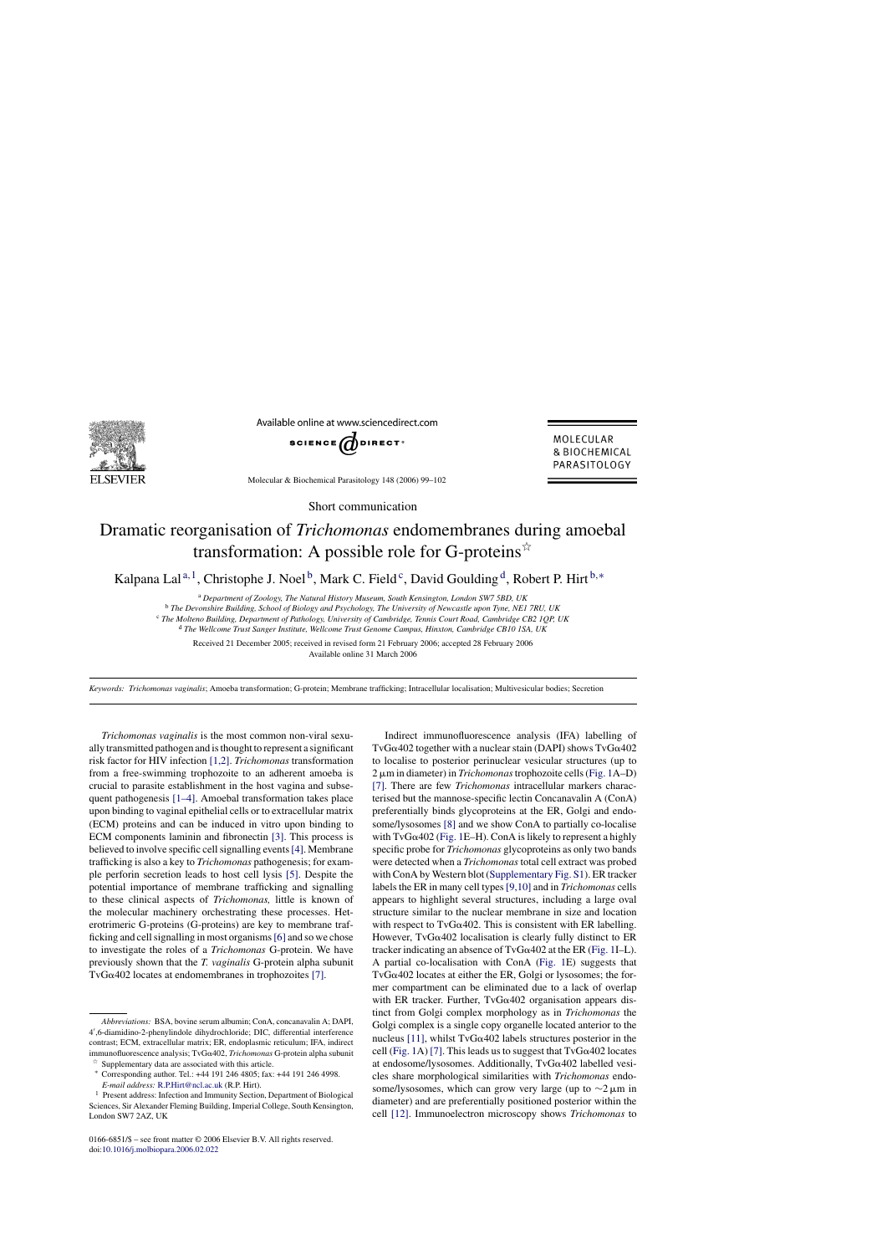

Available online at www.sciencedirect.com



MOLECULAR & BIOCHEMICAL PARASITOLOGY

Molecular & Biochemical Parasitology 148 (2006) 99–102

Short communication

## Dramatic reorganisation of *Trichomonas* endomembranes during amoebal transformation: A possible role for G-proteins $\dot{\alpha}$

Kalpana Lal<sup>a,1</sup>, Christophe J. Noel<sup>b</sup>, Mark C. Field<sup>c</sup>, David Goulding<sup>d</sup>, Robert P. Hirt<sup>b,\*</sup>

<sup>a</sup> *Department of Zoology, The Natural History Museum, South Kensington, London SW7 5BD, UK*

<sup>b</sup> *The Devonshire Building, School of Biology and Psychology, The University of Newcastle upon Tyne, NE1 7RU, UK*

<sup>c</sup> *The Molteno Building, Department of Pathology, University of Cambridge, Tennis Court Road, Cambridge CB2 1QP, UK*

<sup>d</sup> *The Wellcome Trust Sanger Institute, Wellcome Trust Genome Campus, Hinxton, Cambridge CB10 1SA, UK*

Received 21 December 2005; received in revised form 21 February 2006; accepted 28 February 2006 Available online 31 March 2006

*Keywords: Trichomonas vaginalis*; Amoeba transformation; G-protein; Membrane trafficking; Intracellular localisation; Multivesicular bodies; Secretion

*Trichomonas vaginalis* is the most common non-viral sexually transmitted pathogen and is thought to represent a significant risk factor for HIV infection [\[1,2\].](#page-3-0) *Trichomonas* transformation from a free-swimming trophozoite to an adherent amoeba is crucial to parasite establishment in the host vagina and subsequent pathogenesis [\[1–4\].](#page-3-0) Amoebal transformation takes place upon binding to vaginal epithelial cells or to extracellular matrix (ECM) proteins and can be induced in vitro upon binding to ECM components laminin and fibronectin [\[3\].](#page-3-0) This process is believed to involve specific cell signalling events[\[4\]. M](#page-3-0)embrane trafficking is also a key to *Trichomonas* pathogenesis; for example perforin secretion leads to host cell lysis [\[5\].](#page-3-0) Despite the potential importance of membrane trafficking and signalling to these clinical aspects of *Trichomonas,* little is known of the molecular machinery orchestrating these processes. Heterotrimeric G-proteins (G-proteins) are key to membrane trafficking and cell signalling in most organisms[\[6\]](#page-3-0) and so we chose to investigate the roles of a *Trichomonas* G-protein. We have previously shown that the *T. vaginalis* G-protein alpha subunit TvG $\alpha$ 402 locates at endomembranes in trophozoites [\[7\].](#page-3-0)

0166-6851/\$ – see front matter © 2006 Elsevier B.V. All rights reserved. doi[:10.1016/j.molbiopara.2006.02.022](dx.doi.org/10.1016/j.molbiopara.2006.02.022)

Indirect immunofluorescence analysis (IFA) labelling of  $TvG\alpha402$  together with a nuclear stain (DAPI) shows  $TvG\alpha402$ to localise to posterior perinuclear vesicular structures (up to 2-m in diameter) in *Trichomonas*trophozoite cells [\(Fig. 1A](#page-1-0)–D) [\[7\].](#page-3-0) There are few *Trichomonas* intracellular markers characterised but the mannose-specific lectin Concanavalin A (ConA) preferentially binds glycoproteins at the ER, Golgi and endosome/lysosomes [\[8\]](#page-3-0) and we show ConA to partially co-localise with  $TvG\alpha402$  ([Fig. 1E](#page-1-0)–H). ConA is likely to represent a highly specific probe for *Trichomonas* glycoproteins as only two bands were detected when a *Trichomonas* total cell extract was probed with ConA by Western blot [\(Supplementary Fig. S1\).](#page-3-0) ER tracker labels the ER in many cell types [\[9,10\]](#page-3-0) and in *Trichomonas* cells appears to highlight several structures, including a large oval structure similar to the nuclear membrane in size and location with respect to  $TvG\alpha402$ . This is consistent with ER labelling. However,  $TvG\alpha402$  localisation is clearly fully distinct to ER tracker indicating an absence of  $TvG\alpha402$  at the ER ([Fig. 1I–](#page-1-0)L). A partial co-localisation with ConA [\(Fig. 1E](#page-1-0)) suggests that  $TvG\alpha402$  locates at either the ER, Golgi or lysosomes; the former compartment can be eliminated due to a lack of overlap with ER tracker. Further,  $TvG\alpha402$  organisation appears distinct from Golgi complex morphology as in *Trichomonas* the Golgi complex is a single copy organelle located anterior to the nucleus [\[11\],](#page-3-0) whilst  $TvG\alpha402$  labels structures posterior in the cell [\(Fig. 1A](#page-1-0)) [\[7\]. T](#page-3-0)his leads us to suggest that  $TvG\alpha402$  locates at endosome/lysosomes. Additionally,  $TvG\alpha402$  labelled vesicles share morphological similarities with *Trichomonas* endosome/lysosomes, which can grow very large (up to  $\sim$ 2 µm in diameter) and are preferentially positioned posterior within the cell [\[12\].](#page-3-0) Immunoelectron microscopy shows *Trichomonas* to

*Abbreviations:* BSA, bovine serum albumin; ConA, concanavalin A; DAPI, 4- ,6-diamidino-2-phenylindole dihydrochloride; DIC, differential interference contrast; ECM, extracellular matrix; ER, endoplasmic reticulum; IFA, indirect immunofluorescence analysis; TvG402, *Trichomonas* G-protein alpha subunit Supplementary data are associated with this article.

<sup>∗</sup> Corresponding author. Tel.: +44 191 246 4805; fax: +44 191 246 4998.

*E-mail address:* [R.P.Hirt@ncl.ac.uk](mailto:R.P.Hirt@ncl.ac.uk) (R.P. Hirt).

<sup>&</sup>lt;sup>1</sup> Present address: Infection and Immunity Section, Department of Biological Sciences, Sir Alexander Fleming Building, Imperial College, South Kensington, London SW7 2AZ, UK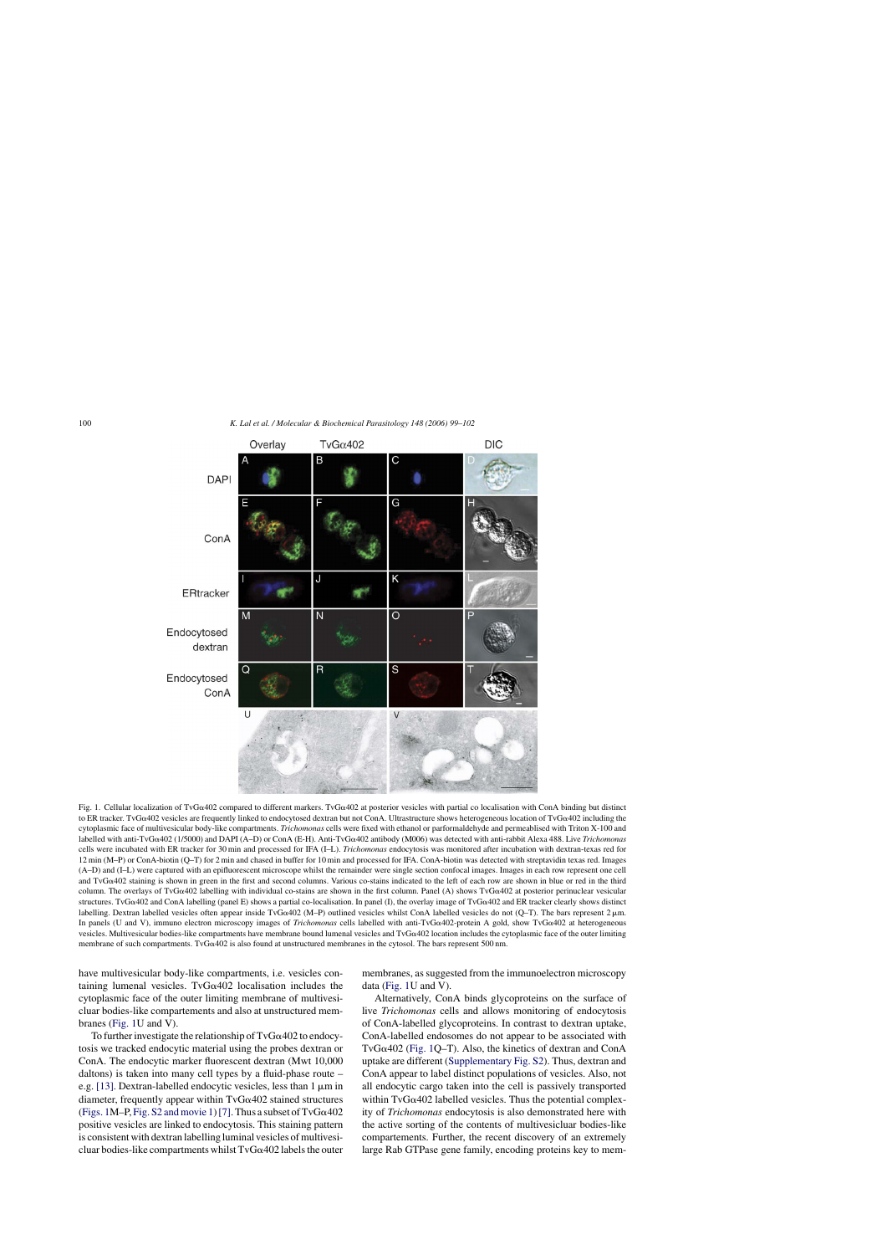<span id="page-1-0"></span>

Fig. 1. Cellular localization of TvG $\alpha$ 402 compared to different markers. TvG $\alpha$ 402 at posterior vesicles with partial co localisation with ConA binding but distinct to ER tracker. TvG $\alpha$ 402 vesicles are frequently linked to endocytosed dextran but not ConA. Ultrastructure shows heterogeneous location of TvG $\alpha$ 402 including the cytoplasmic face of multivesicular body-like compartments. *Trichomonas* cells were fixed with ethanol or parformaldehyde and permeablised with Triton X-100 and labelled with anti-TvG<sub>Q</sub>402 (1/5000) and DAPI (A–D) or ConA (E-H). Anti-TvG<sub>Q</sub>402 antibody (M006) was detected with anti-rabbit Alexa 488. Live *Trichomonas* cells were incubated with ER tracker for 30 min and processed for IFA (I–L). *Trichomonas* endocytosis was monitored after incubation with dextran-texas red for 12 min (M–P) or ConA-biotin (Q–T) for 2 min and chased in buffer for 10 min and processed for IFA. ConA-biotin was detected with streptavidin texas red. Images (A–D) and (I–L) were captured with an epifluorescent microscope whilst the remainder were single section confocal images. Images in each row represent one cell and TvG $\alpha$ 402 staining is shown in green in the first and second columns. Various co-stains indicated to the left of each row are shown in blue or red in the third column. The overlays of TvG $\alpha$ 402 labelling with individual co-stains are shown in the first column. Panel (A) shows TvG $\alpha$ 402 at posterior perinuclear vesicular structures. TvG $\alpha$ 402 and ConA labelling (panel E) shows a partial co-localisation. In panel (I), the overlay image of TvG $\alpha$ 402 and ER tracker clearly shows distinct labelling. Dextran labelled vesicles often appear inside TvG $\alpha$ 402 (M–P) outlined vesicles whilst ConA labelled vesicles do not (Q–T). The bars represent 2 µm. In panels (U and V), immuno electron microscopy images of *Trichomonas* cells labelled with anti-TvG $\alpha$ 402-protein A gold, show TvG $\alpha$ 402 at heterogeneous vesicles. Multivesicular bodies-like compartments have membrane bound lumenal vesicles and TvG402 location includes the cytoplasmic face of the outer limiting membrane of such compartments. TvG $\alpha$ 402 is also found at unstructured membranes in the cytosol. The bars represent 500 nm.

have multivesicular body-like compartments, i.e. vesicles containing lumenal vesicles. TvG $\alpha$ 402 localisation includes the cytoplasmic face of the outer limiting membrane of multivesicluar bodies-like compartements and also at unstructured membranes (Fig. 1U and V).

To further investigate the relationship of  $TvG\alpha402$  to endocytosis we tracked endocytic material using the probes dextran or ConA. The endocytic marker fluorescent dextran (Mwt 10,000 daltons) is taken into many cell types by a fluid-phase route – e.g. [\[13\]. D](#page-3-0)extran-labelled endocytic vesicles, less than 1  $\mu$ m in diameter, frequently appear within  $TvG\alpha402$  stained structures (Figs. 1M–P, Fig. S2 and movie 1) [7]. Thus a subset of  $TvG\alpha402$ positive vesicles are linked to endocytosis. This staining pattern is consistent with dextran labelling luminal vesicles of multivesicluar bodies-like compartments whilst  $TvG\alpha402$  labels the outer membranes, as suggested from the immunoelectron microscopy data (Fig. 1U and V).

Alternatively, ConA binds glycoproteins on the surface of live *Trichomonas* cells and allows monitoring of endocytosis of ConA-labelled glycoproteins. In contrast to dextran uptake, ConA-labelled endosomes do not appear to be associated with TvG $\alpha$ 402 (Fig. 1Q–T). Also, the kinetics of dextran and ConA uptake are different ([Supplementary Fig. S2\).](#page-3-0) Thus, dextran and ConA appear to label distinct populations of vesicles. Also, not all endocytic cargo taken into the cell is passively transported within  $TvG\alpha402$  labelled vesicles. Thus the potential complexity of *Trichomonas* endocytosis is also demonstrated here with the active sorting of the contents of multivesicluar bodies-like compartements. Further, the recent discovery of an extremely large Rab GTPase gene family, encoding proteins key to mem-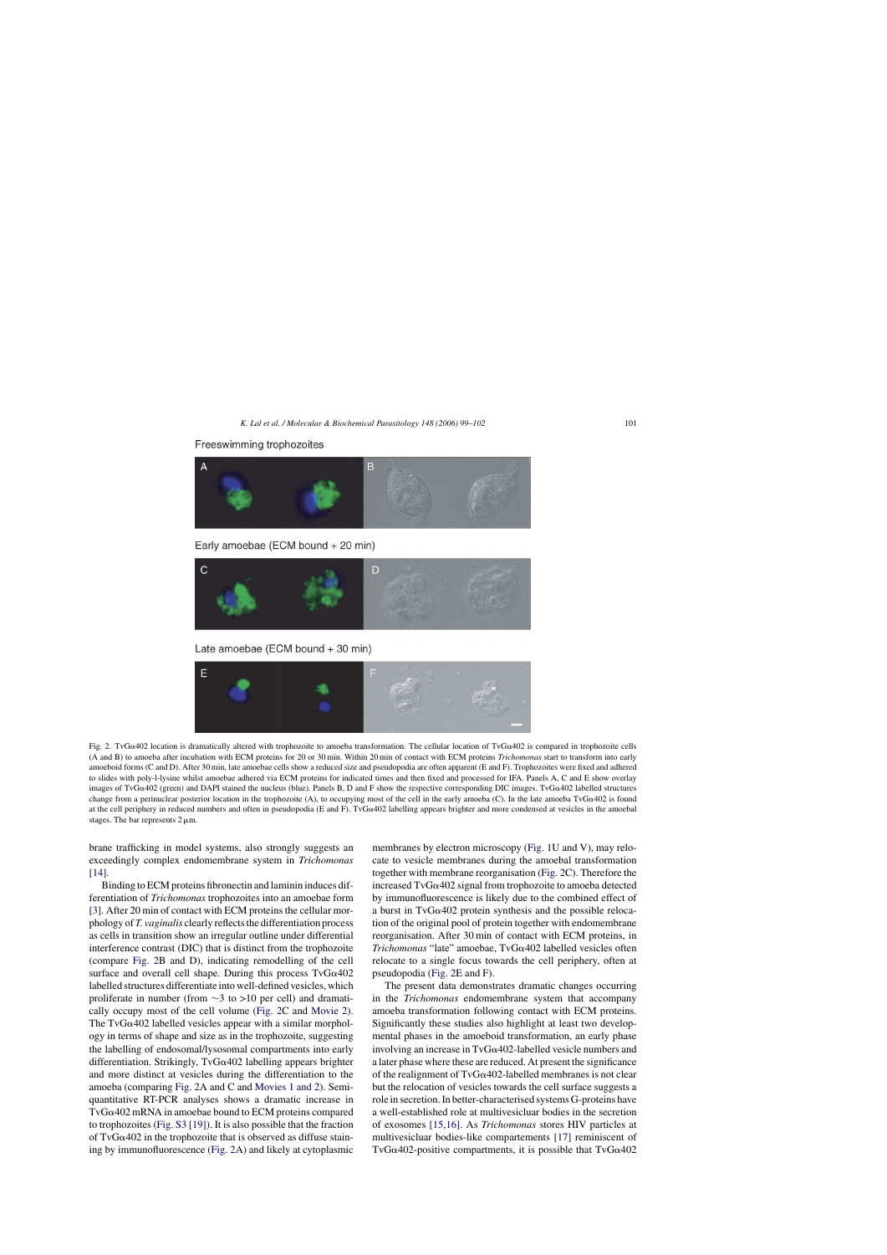



Early amoebae (ECM bound + 20 min)



Late amoebae (ECM bound + 30 min)



Fig. 2. TvG $\alpha$ 402 location is dramatically altered with trophozoite to amoeba transformation. The cellular location of TvG $\alpha$ 402 is compared in trophozoite cells (A and B) to amoeba after incubation with ECM proteins for 20 or 30 min. Within 20 min of contact with ECM proteins *Trichomonas* start to transform into early amoeboid forms (C and D). After 30 min, late amoebae cells show a reduced size and pseudopodia are often apparent (E and F). Trophozoites were fixed and adhered to slides with poly-l-lysine whilst amoebae adhered via ECM proteins for indicated times and then fixed and processed for IFA. Panels A, C and E show overlay images of TvG $\alpha$ 402 (green) and DAPI stained the nucleus (blue). Panels B, D and F show the respective corresponding DIC images. TvG $\alpha$ 402 labelled structures change from a perinuclear posterior location in the trophozoite (A), to occupying most of the cell in the early amoeba (C). In the late amoeba TvG $\alpha$ 402 is found at the cell periphery in reduced numbers and often in pseudopodia (E and F). TvG $\alpha$ 402 labelling appears brighter and more condensed at vesicles in the amoebal stages. The bar represents  $2 \mu m$ .

brane trafficking in model systems, also strongly suggests an exceedingly complex endomembrane system in *Trichomonas* [\[14\].](#page-3-0)

Binding to ECM proteins fibronectin and laminin induces differentiation of *Trichomonas* trophozoites into an amoebae form [\[3\]. A](#page-3-0)fter 20 min of contact with ECM proteins the cellular morphology of *T. vaginalis* clearly reflects the differentiation process as cells in transition show an irregular outline under differential interference contrast (DIC) that is distinct from the trophozoite (compare Fig. 2B and D), indicating remodelling of the cell surface and overall cell shape. During this process  $TvG\alpha402$ labelled structures differentiate into well-defined vesicles, which proliferate in number (from ∼3 to >10 per cell) and dramatically occupy most of the cell volume (Fig. 2C and [Movie 2\).](#page-3-0) The TvG $\alpha$ 402 labelled vesicles appear with a similar morphology in terms of shape and size as in the trophozoite, suggesting the labelling of endosomal/lysosomal compartments into early differentiation. Strikingly,  $TvG\alpha402$  labelling appears brighter and more distinct at vesicles during the differentiation to the amoeba (comparing Fig. 2A and C and [Movies 1 and 2\).](#page-3-0) Semiquantitative RT-PCR analyses shows a dramatic increase in  $TvG\alpha402$  mRNA in amoebae bound to ECM proteins compared to trophozoites [\(Fig. S3 \[19\]\).](#page-3-0) It is also possible that the fraction of  $TvG\alpha402$  in the trophozoite that is observed as diffuse staining by immunofluorescence (Fig. 2A) and likely at cytoplasmic

membranes by electron microscopy [\(Fig. 1U](#page-1-0) and V), may relocate to vesicle membranes during the amoebal transformation together with membrane reorganisation (Fig. 2C). Therefore the increased  $TvG\alpha402$  signal from trophozoite to amoeba detected by immunofluorescence is likely due to the combined effect of a burst in TvG $\alpha$ 402 protein synthesis and the possible relocation of the original pool of protein together with endomembrane reorganisation. After 30 min of contact with ECM proteins, in  $Trichomonas$  "late" amoebae,  $TvGa402$  labelled vesicles often relocate to a single focus towards the cell periphery, often at pseudopodia (Fig. 2E and F).

The present data demonstrates dramatic changes occurring in the *Trichomonas* endomembrane system that accompany amoeba transformation following contact with ECM proteins. Significantly these studies also highlight at least two developmental phases in the amoeboid transformation, an early phase involving an increase in  $TvG\alpha402$ -labelled vesicle numbers and a later phase where these are reduced. At present the significance of the realignment of  $TvG\alpha402$ -labelled membranes is not clear but the relocation of vesicles towards the cell surface suggests a role in secretion. In better-characterised systems G-proteins have a well-established role at multivesicluar bodies in the secretion of exosomes [\[15,16\].](#page-3-0) As *Trichomonas* stores HIV particles at multivesicluar bodies-like compartements [\[17\]](#page-3-0) reminiscent of TvG $\alpha$ 402-positive compartments, it is possible that TvG $\alpha$ 402